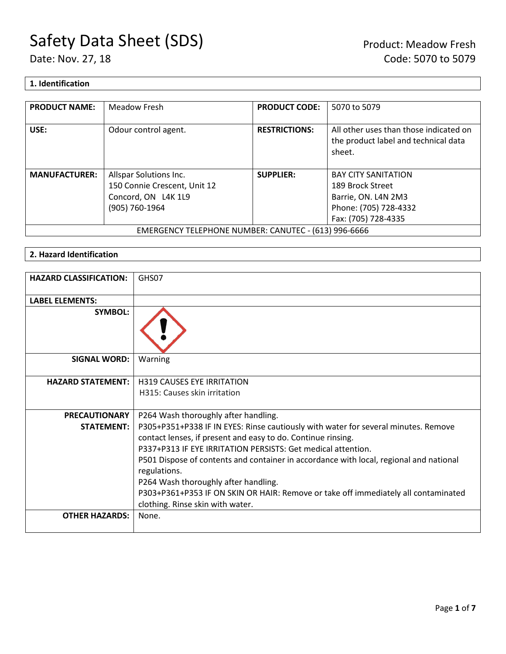## **1. Identification**

| <b>PRODUCT NAME:</b>                                 | Meadow Fresh                 | <b>PRODUCT CODE:</b> | 5070 to 5079                                                                             |
|------------------------------------------------------|------------------------------|----------------------|------------------------------------------------------------------------------------------|
| USE:                                                 | Odour control agent.         | <b>RESTRICTIONS:</b> | All other uses than those indicated on<br>the product label and technical data<br>sheet. |
| <b>MANUFACTURER:</b>                                 | Allspar Solutions Inc.       | <b>SUPPLIER:</b>     | <b>BAY CITY SANITATION</b>                                                               |
|                                                      | 150 Connie Crescent, Unit 12 |                      | 189 Brock Street                                                                         |
|                                                      | Concord, ON L4K 1L9          |                      | Barrie, ON. L4N 2M3                                                                      |
|                                                      | (905) 760-1964               |                      | Phone: (705) 728-4332                                                                    |
|                                                      |                              |                      | Fax: (705) 728-4335                                                                      |
| EMERGENCY TELEPHONE NUMBER: CANUTEC - (613) 996-6666 |                              |                      |                                                                                          |

## **2. Hazard Identification**

| <b>HAZARD CLASSIFICATION:</b> | GHS07                                                                                                                                                                                                              |
|-------------------------------|--------------------------------------------------------------------------------------------------------------------------------------------------------------------------------------------------------------------|
| <b>LABEL ELEMENTS:</b>        |                                                                                                                                                                                                                    |
| <b>SYMBOL:</b>                |                                                                                                                                                                                                                    |
| <b>SIGNAL WORD:</b>           | Warning                                                                                                                                                                                                            |
| <b>HAZARD STATEMENT:</b>      | <b>H319 CAUSES EYE IRRITATION</b>                                                                                                                                                                                  |
|                               | H315: Causes skin irritation                                                                                                                                                                                       |
| <b>PRECAUTIONARY</b>          | P264 Wash thoroughly after handling.                                                                                                                                                                               |
| <b>STATEMENT:</b>             | P305+P351+P338 IF IN EYES: Rinse cautiously with water for several minutes. Remove<br>contact lenses, if present and easy to do. Continue rinsing.<br>P337+P313 IF EYE IRRITATION PERSISTS: Get medical attention. |
|                               | P501 Dispose of contents and container in accordance with local, regional and national<br>regulations.                                                                                                             |
|                               | P264 Wash thoroughly after handling.                                                                                                                                                                               |
|                               | P303+P361+P353 IF ON SKIN OR HAIR: Remove or take off immediately all contaminated<br>clothing. Rinse skin with water.                                                                                             |
| <b>OTHER HAZARDS:</b>         | None.                                                                                                                                                                                                              |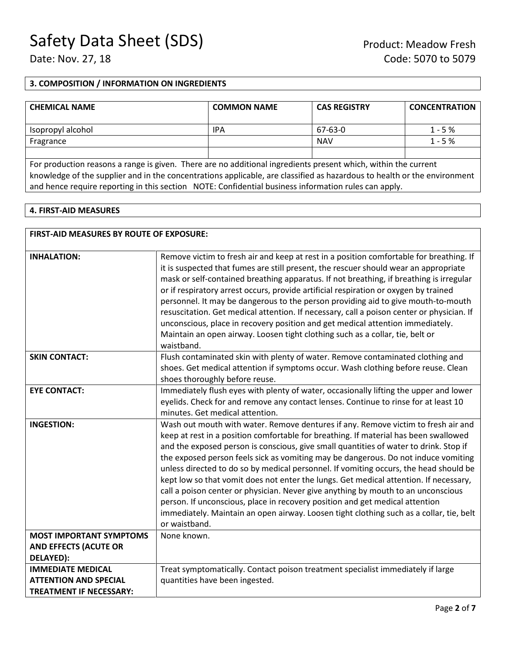## **3. COMPOSITION / INFORMATION ON INGREDIENTS**

| <b>CHEMICAL NAME</b> | <b>COMMON NAME</b> | <b>CAS REGISTRY</b> | <b>CONCENTRATION</b> |
|----------------------|--------------------|---------------------|----------------------|
| Isopropyl alcohol    | <b>IPA</b>         | 67-63-0             | $1 - 5%$             |
| Fragrance            |                    | <b>NAV</b>          | $1 - 5%$             |
|                      |                    |                     |                      |

For production reasons a range is given. There are no additional ingredients present which, within the current knowledge of the supplier and in the concentrations applicable, are classified as hazardous to health or the environment and hence require reporting in this section NOTE: Confidential business information rules can apply.

#### **4. FIRST-AID MEASURES**

| <b>FIRST-AID MEASURES BY ROUTE OF EXPOSURE:</b>                |                                                                                                                                                                                                                                                                                                                                                                                                                                                                                                                                                                                                                                                                                                                                                                                                                             |
|----------------------------------------------------------------|-----------------------------------------------------------------------------------------------------------------------------------------------------------------------------------------------------------------------------------------------------------------------------------------------------------------------------------------------------------------------------------------------------------------------------------------------------------------------------------------------------------------------------------------------------------------------------------------------------------------------------------------------------------------------------------------------------------------------------------------------------------------------------------------------------------------------------|
| <b>INHALATION:</b>                                             | Remove victim to fresh air and keep at rest in a position comfortable for breathing. If<br>it is suspected that fumes are still present, the rescuer should wear an appropriate<br>mask or self-contained breathing apparatus. If not breathing, if breathing is irregular<br>or if respiratory arrest occurs, provide artificial respiration or oxygen by trained<br>personnel. It may be dangerous to the person providing aid to give mouth-to-mouth<br>resuscitation. Get medical attention. If necessary, call a poison center or physician. If<br>unconscious, place in recovery position and get medical attention immediately.<br>Maintain an open airway. Loosen tight clothing such as a collar, tie, belt or<br>waistband.                                                                                       |
| <b>SKIN CONTACT:</b>                                           | Flush contaminated skin with plenty of water. Remove contaminated clothing and<br>shoes. Get medical attention if symptoms occur. Wash clothing before reuse. Clean<br>shoes thoroughly before reuse.                                                                                                                                                                                                                                                                                                                                                                                                                                                                                                                                                                                                                       |
| <b>EYE CONTACT:</b>                                            | Immediately flush eyes with plenty of water, occasionally lifting the upper and lower<br>eyelids. Check for and remove any contact lenses. Continue to rinse for at least 10<br>minutes. Get medical attention.                                                                                                                                                                                                                                                                                                                                                                                                                                                                                                                                                                                                             |
| <b>INGESTION:</b>                                              | Wash out mouth with water. Remove dentures if any. Remove victim to fresh air and<br>keep at rest in a position comfortable for breathing. If material has been swallowed<br>and the exposed person is conscious, give small quantities of water to drink. Stop if<br>the exposed person feels sick as vomiting may be dangerous. Do not induce vomiting<br>unless directed to do so by medical personnel. If vomiting occurs, the head should be<br>kept low so that vomit does not enter the lungs. Get medical attention. If necessary,<br>call a poison center or physician. Never give anything by mouth to an unconscious<br>person. If unconscious, place in recovery position and get medical attention<br>immediately. Maintain an open airway. Loosen tight clothing such as a collar, tie, belt<br>or waistband. |
| <b>MOST IMPORTANT SYMPTOMS</b>                                 | None known.                                                                                                                                                                                                                                                                                                                                                                                                                                                                                                                                                                                                                                                                                                                                                                                                                 |
| <b>AND EFFECTS (ACUTE OR</b><br>DELAYED):                      |                                                                                                                                                                                                                                                                                                                                                                                                                                                                                                                                                                                                                                                                                                                                                                                                                             |
| <b>IMMEDIATE MEDICAL</b>                                       | Treat symptomatically. Contact poison treatment specialist immediately if large                                                                                                                                                                                                                                                                                                                                                                                                                                                                                                                                                                                                                                                                                                                                             |
| <b>ATTENTION AND SPECIAL</b><br><b>TREATMENT IF NECESSARY:</b> | quantities have been ingested.                                                                                                                                                                                                                                                                                                                                                                                                                                                                                                                                                                                                                                                                                                                                                                                              |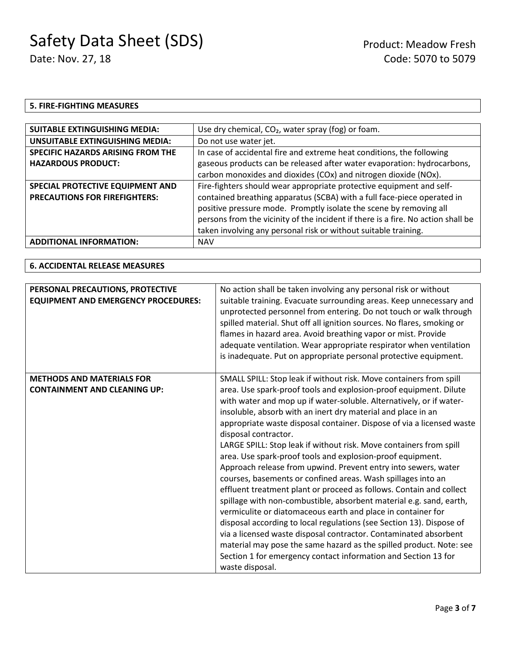### **5. FIRE-FIGHTING MEASURES**

| <b>SUITABLE EXTINGUISHING MEDIA:</b>     | Use dry chemical, CO <sub>2</sub> , water spray (fog) or foam.                   |
|------------------------------------------|----------------------------------------------------------------------------------|
| <b>UNSUITABLE EXTINGUISHING MEDIA:</b>   | Do not use water jet.                                                            |
| <b>SPECIFIC HAZARDS ARISING FROM THE</b> | In case of accidental fire and extreme heat conditions, the following            |
| <b>HAZARDOUS PRODUCT:</b>                | gaseous products can be released after water evaporation: hydrocarbons,          |
|                                          | carbon monoxides and dioxides (COx) and nitrogen dioxide (NOx).                  |
| SPECIAL PROTECTIVE EQUIPMENT AND         | Fire-fighters should wear appropriate protective equipment and self-             |
| <b>PRECAUTIONS FOR FIREFIGHTERS:</b>     | contained breathing apparatus (SCBA) with a full face-piece operated in          |
|                                          | positive pressure mode. Promptly isolate the scene by removing all               |
|                                          | persons from the vicinity of the incident if there is a fire. No action shall be |
|                                          | taken involving any personal risk or without suitable training.                  |
| <b>ADDITIONAL INFORMATION:</b>           | <b>NAV</b>                                                                       |

## **6. ACCIDENTAL RELEASE MEASURES**

| PERSONAL PRECAUTIONS, PROTECTIVE<br><b>EQUIPMENT AND EMERGENCY PROCEDURES:</b> | No action shall be taken involving any personal risk or without<br>suitable training. Evacuate surrounding areas. Keep unnecessary and<br>unprotected personnel from entering. Do not touch or walk through<br>spilled material. Shut off all ignition sources. No flares, smoking or<br>flames in hazard area. Avoid breathing vapor or mist. Provide<br>adequate ventilation. Wear appropriate respirator when ventilation<br>is inadequate. Put on appropriate personal protective equipment.                                                                                                                                                                                                                                                                                                                                                                                                                                                                                                                                                                                                                                                                            |
|--------------------------------------------------------------------------------|-----------------------------------------------------------------------------------------------------------------------------------------------------------------------------------------------------------------------------------------------------------------------------------------------------------------------------------------------------------------------------------------------------------------------------------------------------------------------------------------------------------------------------------------------------------------------------------------------------------------------------------------------------------------------------------------------------------------------------------------------------------------------------------------------------------------------------------------------------------------------------------------------------------------------------------------------------------------------------------------------------------------------------------------------------------------------------------------------------------------------------------------------------------------------------|
| <b>METHODS AND MATERIALS FOR</b><br><b>CONTAINMENT AND CLEANING UP:</b>        | SMALL SPILL: Stop leak if without risk. Move containers from spill<br>area. Use spark-proof tools and explosion-proof equipment. Dilute<br>with water and mop up if water-soluble. Alternatively, or if water-<br>insoluble, absorb with an inert dry material and place in an<br>appropriate waste disposal container. Dispose of via a licensed waste<br>disposal contractor.<br>LARGE SPILL: Stop leak if without risk. Move containers from spill<br>area. Use spark-proof tools and explosion-proof equipment.<br>Approach release from upwind. Prevent entry into sewers, water<br>courses, basements or confined areas. Wash spillages into an<br>effluent treatment plant or proceed as follows. Contain and collect<br>spillage with non-combustible, absorbent material e.g. sand, earth,<br>vermiculite or diatomaceous earth and place in container for<br>disposal according to local regulations (see Section 13). Dispose of<br>via a licensed waste disposal contractor. Contaminated absorbent<br>material may pose the same hazard as the spilled product. Note: see<br>Section 1 for emergency contact information and Section 13 for<br>waste disposal. |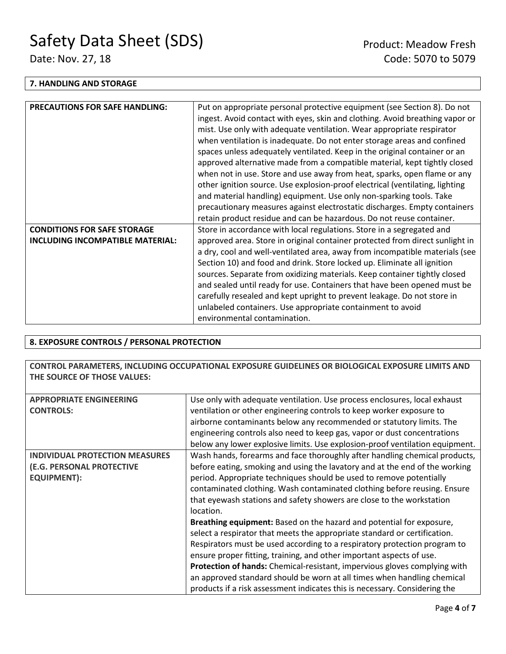#### **7. HANDLING AND STORAGE**

| <b>PRECAUTIONS FOR SAFE HANDLING:</b> | Put on appropriate personal protective equipment (see Section 8). Do not<br>ingest. Avoid contact with eyes, skin and clothing. Avoid breathing vapor or<br>mist. Use only with adequate ventilation. Wear appropriate respirator<br>when ventilation is inadequate. Do not enter storage areas and confined<br>spaces unless adequately ventilated. Keep in the original container or an<br>approved alternative made from a compatible material, kept tightly closed<br>when not in use. Store and use away from heat, sparks, open flame or any<br>other ignition source. Use explosion-proof electrical (ventilating, lighting<br>and material handling) equipment. Use only non-sparking tools. Take<br>precautionary measures against electrostatic discharges. Empty containers<br>retain product residue and can be hazardous. Do not reuse container. |
|---------------------------------------|----------------------------------------------------------------------------------------------------------------------------------------------------------------------------------------------------------------------------------------------------------------------------------------------------------------------------------------------------------------------------------------------------------------------------------------------------------------------------------------------------------------------------------------------------------------------------------------------------------------------------------------------------------------------------------------------------------------------------------------------------------------------------------------------------------------------------------------------------------------|
| <b>CONDITIONS FOR SAFE STORAGE</b>    | Store in accordance with local regulations. Store in a segregated and                                                                                                                                                                                                                                                                                                                                                                                                                                                                                                                                                                                                                                                                                                                                                                                          |
| INCLUDING INCOMPATIBLE MATERIAL:      | approved area. Store in original container protected from direct sunlight in                                                                                                                                                                                                                                                                                                                                                                                                                                                                                                                                                                                                                                                                                                                                                                                   |
|                                       | a dry, cool and well-ventilated area, away from incompatible materials (see<br>Section 10) and food and drink. Store locked up. Eliminate all ignition<br>sources. Separate from oxidizing materials. Keep container tightly closed<br>and sealed until ready for use. Containers that have been opened must be<br>carefully resealed and kept upright to prevent leakage. Do not store in<br>unlabeled containers. Use appropriate containment to avoid<br>environmental contamination.                                                                                                                                                                                                                                                                                                                                                                       |

## **8. EXPOSURE CONTROLS / PERSONAL PROTECTION**

**CONTROL PARAMETERS, INCLUDING OCCUPATIONAL EXPOSURE GUIDELINES OR BIOLOGICAL EXPOSURE LIMITS AND THE SOURCE OF THOSE VALUES:**

| <b>APPROPRIATE ENGINEERING</b>        | Use only with adequate ventilation. Use process enclosures, local exhaust    |  |  |
|---------------------------------------|------------------------------------------------------------------------------|--|--|
| <b>CONTROLS:</b>                      | ventilation or other engineering controls to keep worker exposure to         |  |  |
|                                       | airborne contaminants below any recommended or statutory limits. The         |  |  |
|                                       | engineering controls also need to keep gas, vapor or dust concentrations     |  |  |
|                                       | below any lower explosive limits. Use explosion-proof ventilation equipment. |  |  |
| <b>INDIVIDUAL PROTECTION MEASURES</b> | Wash hands, forearms and face thoroughly after handling chemical products,   |  |  |
| (E.G. PERSONAL PROTECTIVE             | before eating, smoking and using the lavatory and at the end of the working  |  |  |
| <b>EQUIPMENT):</b>                    | period. Appropriate techniques should be used to remove potentially          |  |  |
|                                       | contaminated clothing. Wash contaminated clothing before reusing. Ensure     |  |  |
|                                       | that eyewash stations and safety showers are close to the workstation        |  |  |
|                                       | location.                                                                    |  |  |
|                                       | Breathing equipment: Based on the hazard and potential for exposure,         |  |  |
|                                       | select a respirator that meets the appropriate standard or certification.    |  |  |
|                                       | Respirators must be used according to a respiratory protection program to    |  |  |
|                                       | ensure proper fitting, training, and other important aspects of use.         |  |  |
|                                       | Protection of hands: Chemical-resistant, impervious gloves complying with    |  |  |
|                                       | an approved standard should be worn at all times when handling chemical      |  |  |
|                                       | products if a risk assessment indicates this is necessary. Considering the   |  |  |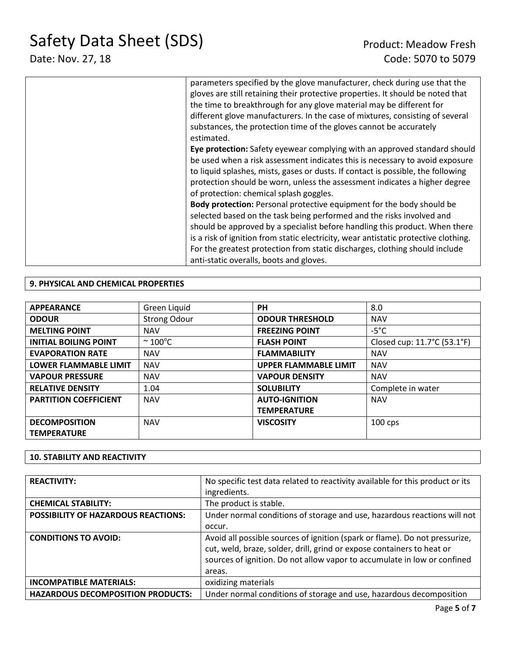| parameters specified by the glove manufacturer, check during use that the<br>gloves are still retaining their protective properties. It should be noted that<br>the time to breakthrough for any glove material may be different for<br>different glove manufacturers. In the case of mixtures, consisting of several<br>substances, the protection time of the gloves cannot be accurately<br>estimated.                                      |
|------------------------------------------------------------------------------------------------------------------------------------------------------------------------------------------------------------------------------------------------------------------------------------------------------------------------------------------------------------------------------------------------------------------------------------------------|
| Eye protection: Safety eyewear complying with an approved standard should<br>be used when a risk assessment indicates this is necessary to avoid exposure<br>to liquid splashes, mists, gases or dusts. If contact is possible, the following<br>protection should be worn, unless the assessment indicates a higher degree<br>of protection: chemical splash goggles.                                                                         |
| Body protection: Personal protective equipment for the body should be<br>selected based on the task being performed and the risks involved and<br>should be approved by a specialist before handling this product. When there<br>is a risk of ignition from static electricity, wear antistatic protective clothing.<br>For the greatest protection from static discharges, clothing should include<br>anti-static overalls, boots and gloves. |

## **9. PHYSICAL AND CHEMICAL PROPERTIES**

| <b>APPEARANCE</b>            | Green Liquid            | <b>PH</b>                    | 8.0                         |
|------------------------------|-------------------------|------------------------------|-----------------------------|
| <b>ODOUR</b>                 | <b>Strong Odour</b>     | <b>ODOUR THRESHOLD</b>       | <b>NAV</b>                  |
| <b>MELTING POINT</b>         | <b>NAV</b>              | <b>FREEZING POINT</b>        | $-5^{\circ}$ C              |
| <b>INITIAL BOILING POINT</b> | $\approx 100^{\circ}$ C | <b>FLASH POINT</b>           | Closed cup: 11.7°C (53.1°F) |
| <b>EVAPORATION RATE</b>      | <b>NAV</b>              | <b>FLAMMABILITY</b>          | <b>NAV</b>                  |
| <b>LOWER FLAMMABLE LIMIT</b> | <b>NAV</b>              | <b>UPPER FLAMMABLE LIMIT</b> | <b>NAV</b>                  |
| <b>VAPOUR PRESSURE</b>       | <b>NAV</b>              | <b>VAPOUR DENSITY</b>        | <b>NAV</b>                  |
| <b>RELATIVE DENSITY</b>      | 1.04                    | <b>SOLUBILITY</b>            | Complete in water           |
| <b>PARTITION COEFFICIENT</b> | <b>NAV</b>              | <b>AUTO-IGNITION</b>         | <b>NAV</b>                  |
|                              |                         | <b>TEMPERATURE</b>           |                             |
| <b>DECOMPOSITION</b>         | <b>NAV</b>              | <b>VISCOSITY</b>             | $100$ cps                   |
| <b>TEMPERATURE</b>           |                         |                              |                             |

## **10. STABILITY AND REACTIVITY**

| <b>REACTIVITY:</b>                         | No specific test data related to reactivity available for this product or its |
|--------------------------------------------|-------------------------------------------------------------------------------|
|                                            | ingredients.                                                                  |
| <b>CHEMICAL STABILITY:</b>                 | The product is stable.                                                        |
| <b>POSSIBILITY OF HAZARDOUS REACTIONS:</b> | Under normal conditions of storage and use, hazardous reactions will not      |
|                                            | occur.                                                                        |
| <b>CONDITIONS TO AVOID:</b>                | Avoid all possible sources of ignition (spark or flame). Do not pressurize,   |
|                                            | cut, weld, braze, solder, drill, grind or expose containers to heat or        |
|                                            | sources of ignition. Do not allow vapor to accumulate in low or confined      |
|                                            | areas.                                                                        |
| <b>INCOMPATIBLE MATERIALS:</b>             | oxidizing materials                                                           |
| <b>HAZARDOUS DECOMPOSITION PRODUCTS:</b>   | Under normal conditions of storage and use, hazardous decomposition           |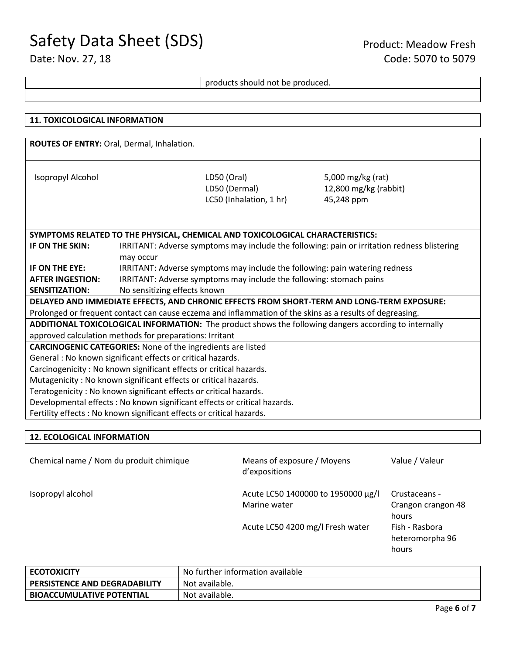## products should not be produced.

| ROUTES OF ENTRY: Oral, Dermal, Inhalation.                                                                     |  |  |  |
|----------------------------------------------------------------------------------------------------------------|--|--|--|
|                                                                                                                |  |  |  |
|                                                                                                                |  |  |  |
|                                                                                                                |  |  |  |
| LD50 (Oral)<br>Isopropyl Alcohol<br>5,000 mg/kg (rat)                                                          |  |  |  |
| LD50 (Dermal)<br>12,800 mg/kg (rabbit)                                                                         |  |  |  |
| LC50 (Inhalation, 1 hr)<br>45,248 ppm                                                                          |  |  |  |
|                                                                                                                |  |  |  |
|                                                                                                                |  |  |  |
| SYMPTOMS RELATED TO THE PHYSICAL, CHEMICAL AND TOXICOLOGICAL CHARACTERISTICS:                                  |  |  |  |
| IF ON THE SKIN:<br>IRRITANT: Adverse symptoms may include the following: pain or irritation redness blistering |  |  |  |
| may occur                                                                                                      |  |  |  |
| IF ON THE EYE:<br>IRRITANT: Adverse symptoms may include the following: pain watering redness                  |  |  |  |
| IRRITANT: Adverse symptoms may include the following: stomach pains<br><b>AFTER INGESTION:</b>                 |  |  |  |
| No sensitizing effects known<br><b>SENSITIZATION:</b>                                                          |  |  |  |
| DELAYED AND IMMEDIATE EFFECTS, AND CHRONIC EFFECTS FROM SHORT-TERM AND LONG-TERM EXPOSURE:                     |  |  |  |
| Prolonged or frequent contact can cause eczema and inflammation of the skins as a results of degreasing.       |  |  |  |
| ADDITIONAL TOXICOLOGICAL INFORMATION: The product shows the following dangers according to internally          |  |  |  |
| approved calculation methods for preparations: Irritant                                                        |  |  |  |
| <b>CARCINOGENIC CATEGORIES:</b> None of the ingredients are listed                                             |  |  |  |
| General: No known significant effects or critical hazards.                                                     |  |  |  |
| Carcinogenicity : No known significant effects or critical hazards.                                            |  |  |  |
| Mutagenicity: No known significant effects or critical hazards.                                                |  |  |  |
| Teratogenicity : No known significant effects or critical hazards.                                             |  |  |  |
| Developmental effects : No known significant effects or critical hazards.                                      |  |  |  |
| Fertility effects : No known significant effects or critical hazards.                                          |  |  |  |

#### **12. ECOLOGICAL INFORMATION**

| Chemical name / Nom du produit chimique | Means of exposure / Moyens<br>d'expositions        | Value / Valeur                               |
|-----------------------------------------|----------------------------------------------------|----------------------------------------------|
| Isopropyl alcohol                       | Acute LC50 1400000 to 1950000 μg/l<br>Marine water | Crustaceans -<br>Crangon crangon 48<br>hours |
|                                         | Acute LC50 4200 mg/l Fresh water                   | Fish - Rasbora<br>heteromorpha 96<br>hours   |

| <b>ECOTOXICITY</b>                   | No further information available |
|--------------------------------------|----------------------------------|
| <b>PERSISTENCE AND DEGRADABILITY</b> | Not available.                   |
| <b>BIOACCUMULATIVE POTENTIAL</b>     | Not available.                   |